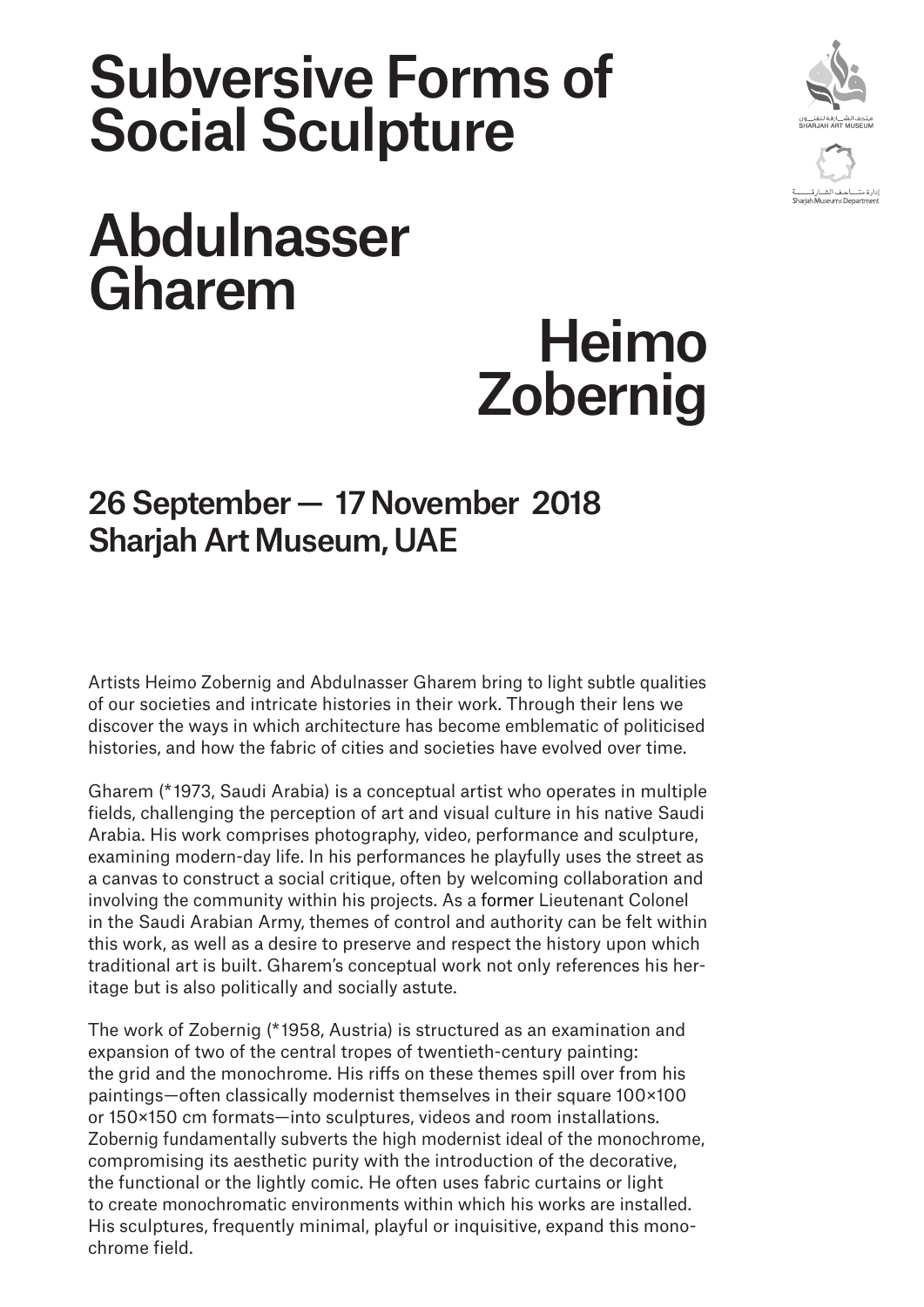## Subversive Forms of Social Sculpture



## Abdulnasser Gharem

# Heimo Zobernig

### 26 September — 17 November 2018 Sharjah Art Museum, UAE

Artists Heimo Zobernig and Abdulnasser Gharem bring to light subtle qualities of our societies and intricate histories in their work. Through their lens we discover the ways in which architecture has become emblematic of politicised histories, and how the fabric of cities and societies have evolved over time.

Gharem (\* 1973, Saudi Arabia) is a conceptual artist who operates in multiple fields, challenging the perception of art and visual culture in his native Saudi Arabia. His work comprises photography, video, performance and sculpture, examining modern-day life. In his performances he playfully uses the street as a canvas to construct a social critique, often by welcoming collaboration and involving the community within his projects. As a former Lieutenant Colonel in the Saudi Arabian Army, themes of control and authority can be felt within this work, as well as a desire to preserve and respect the history upon which traditional art is built. Gharem's conceptual work not only references his heritage but is also politically and socially astute.

The work of Zobernig (\* 1958, Austria) is structured as an examination and expansion of two of the central tropes of twentieth-century painting: the grid and the monochrome. His riffs on these themes spill over from his paintings—often classically modernist themselves in their square 100×100 or 150×150 cm formats—into sculptures, videos and room installations. Zobernig fundamentally subverts the high modernist ideal of the monochrome, compromising its aesthetic purity with the introduction of the decorative, the functional or the lightly comic. He often uses fabric curtains or light to create monochromatic environments within which his works are installed. His sculptures, frequently minimal, playful or inquisitive, expand this monochrome field.